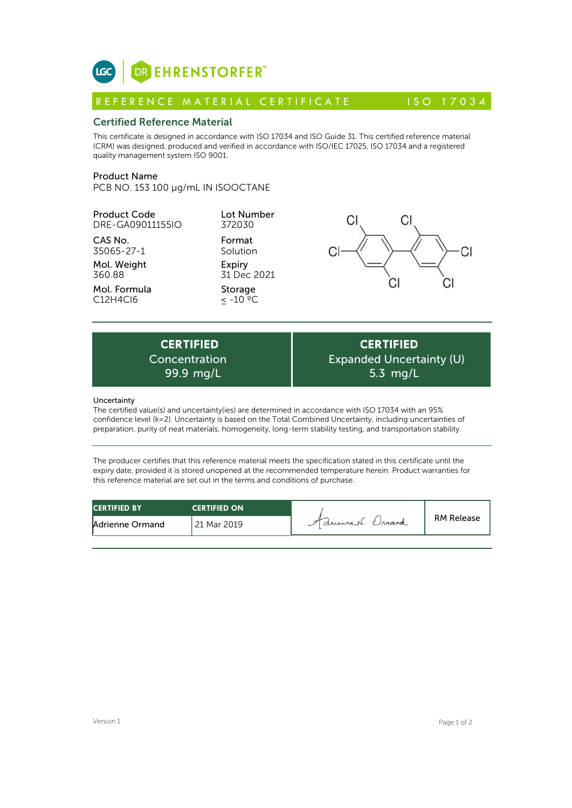

# Certified Reference Material

This certificate is designed in accordance with ISO 17034 and ISO Guide 31. This certified reference material (CRM) was designed, produced and verified in accordance with ISO/IEC 17025, ISO 17034 and a registered quality management system ISO 9001. **ICC**<br> **REFERENCE MATERIAL CERTIFICATE** ISO 17034<br> **Certified Reference Material**<br>
This certificate is designed in accordance with ISO 17034 and ISO Guide 31. This certified reference material<br>
CRM) was designed, produced

## Product Name

PCB NO. 153 100 µg/mL IN ISOOCTANE

Product Code DRE-GA09011155IO

CAS No. 35065-27-1

Mol. Weight 360.88

Mol. Formula C12H4Cl6

Format Solution Expiry 31 Dec 2021 Storage  $\leq$  -10  $^{\circ}$ °C

Lot Number 372030



Expiry<br>  $31 \text{ Dec } 2021$ <br>
Storage<br>  $\leq -10 \text{ °C}$ <br>
<br>
CERTIFIED<br>
ncentration Exp<br>
99.9 mg/L<br>
and uncertainty (inc) and determined in accordance Concentration

**CERTIFIED** Expanded Uncertainty (U) 5.3 mg/L

## Uncertainty

The certified value(s) and uncertainty(ies) are determined in accordance with ISO 17034 with an 95% confidence level (k=2). Uncertainty is based on the Total Combined Uncertainty, including uncertainties of preparation, purity of neat materials, homogeneity, long-term stability testing, and transportation stability.

The producer certifies that this reference material meets the specification stated in this certificate until the expiry date, provided it is stored unopened at the recommended temperature herein. Product warranties for this reference material are set out in the terms and conditions of purchase.

| <b>CERTIFIED BY</b> | <b>CERTIFIED ON</b> |                  |                   |
|---------------------|---------------------|------------------|-------------------|
| Adrienne Ormand     | 21 Mar 2019         | 7 drument Craand | <b>RM Release</b> |